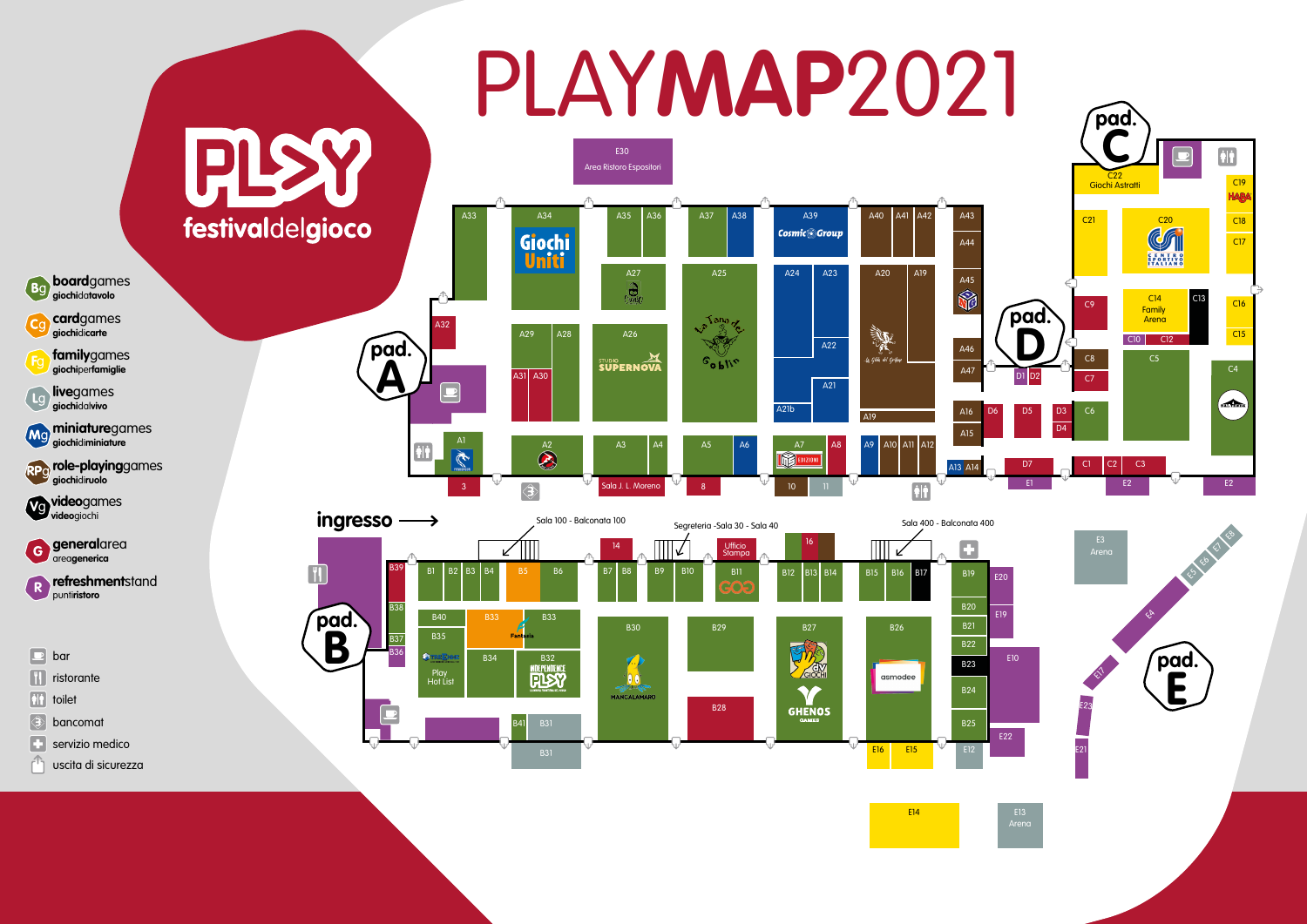

Arena

# Area Ristoro Espositori PLAY**MAP**2021